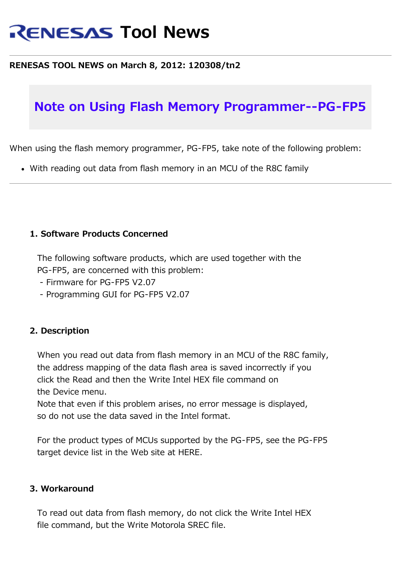# **RENESAS Tool News**

#### **RENESAS TOOL NEWS on March 8, 2012: 120308/tn2**

## **Note on Using Flash Memory Programmer--PG-FP5**

When using the flash memory programmer, PG-FP5, take note of the following problem:

With reading out data from flash memory in an MCU of the R8C family

### **1. Software Products Concerned**

 The following software products, which are used together with the PG-FP5, are concerned with this problem:

- Firmware for PG-FP5 V2.07
- Programming GUI for PG-FP5 V2.07

#### **2. Description**

 When you read out data from flash memory in an MCU of the R8C family, the address mapping of the data flash area is saved incorrectly if you click the Read and then the Write Intel HEX file command on the Device menu.

 Note that even if this problem arises, no error message is displayed, so do not use the data saved in the Intel format.

 For the product types of MCUs supported by the PG-FP5, see the PG-FP5 target device list in the Web site at HERE.

#### **3. Workaround**

 To read out data from flash memory, do not click the Write Intel HEX file command, but the Write Motorola SREC file.